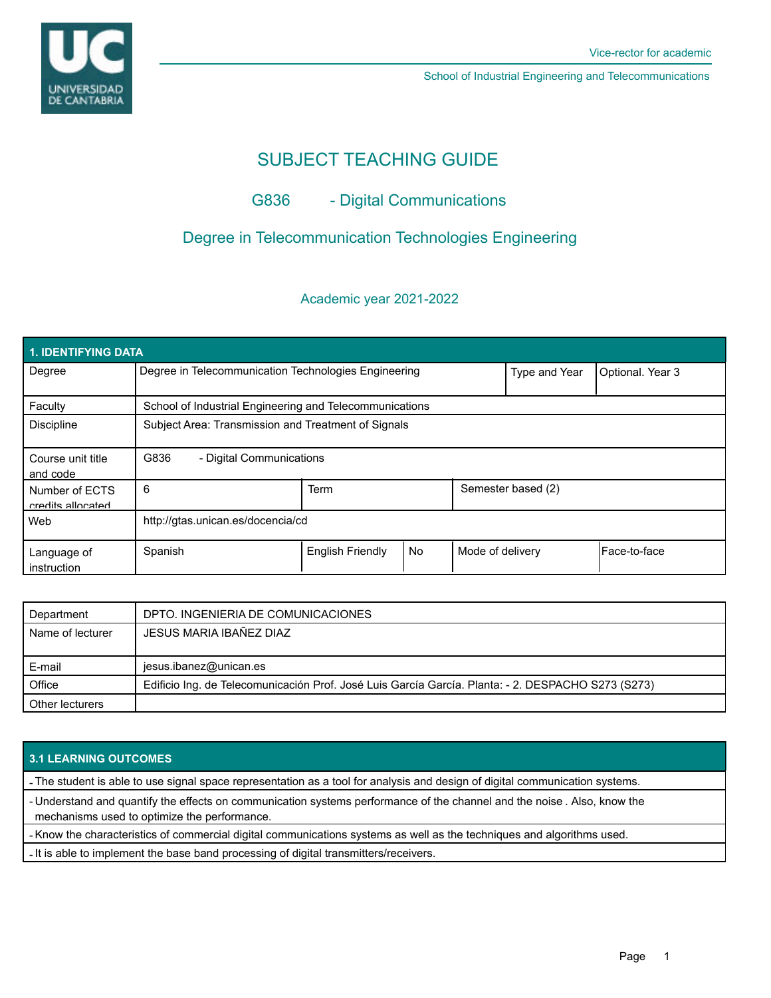

School of Industrial Engineering and Telecommunications

# SUBJECT TEACHING GUIDE

# G836 - Digital Communications

# Degree in Telecommunication Technologies Engineering

## Academic year 2021-2022

| <b>1. IDENTIFYING DATA</b>          |                                                         |                         |    |                  |                    |              |  |  |  |
|-------------------------------------|---------------------------------------------------------|-------------------------|----|------------------|--------------------|--------------|--|--|--|
| Degree                              | Degree in Telecommunication Technologies Engineering    |                         |    | Type and Year    | Optional. Year 3   |              |  |  |  |
| Faculty                             | School of Industrial Engineering and Telecommunications |                         |    |                  |                    |              |  |  |  |
| <b>Discipline</b>                   | Subject Area: Transmission and Treatment of Signals     |                         |    |                  |                    |              |  |  |  |
| Course unit title<br>and code       | G836<br>- Digital Communications                        |                         |    |                  |                    |              |  |  |  |
| Number of ECTS<br>credits allocated | 6                                                       | <b>Term</b>             |    |                  | Semester based (2) |              |  |  |  |
| Web                                 | http://gtas.unican.es/docencia/cd                       |                         |    |                  |                    |              |  |  |  |
| Language of<br>instruction          | Spanish                                                 | <b>English Friendly</b> | No | Mode of delivery |                    | Face-to-face |  |  |  |

| Department       | DPTO. INGENIERIA DE COMUNICACIONES                                                                 |  |  |
|------------------|----------------------------------------------------------------------------------------------------|--|--|
| Name of lecturer | JESUS MARIA IBAÑEZ DIAZ                                                                            |  |  |
|                  |                                                                                                    |  |  |
| E-mail           | jesus.ibanez@unican.es                                                                             |  |  |
| Office           | Edificio Ing. de Telecomunicación Prof. José Luis García García. Planta: - 2. DESPACHO S273 (S273) |  |  |
| Other lecturers  |                                                                                                    |  |  |

### **3.1 LEARNING OUTCOMES**

- The student is able to use signal space representation as a tool for analysis and design of digital communication systems.

- Understand and quantify the effects on communication systems performance of the channel and the noise . Also, know the mechanisms used to optimize the performance.

- Know the characteristics of commercial digital communications systems as well as the techniques and algorithms used.

- It is able to implement the base band processing of digital transmitters/receivers.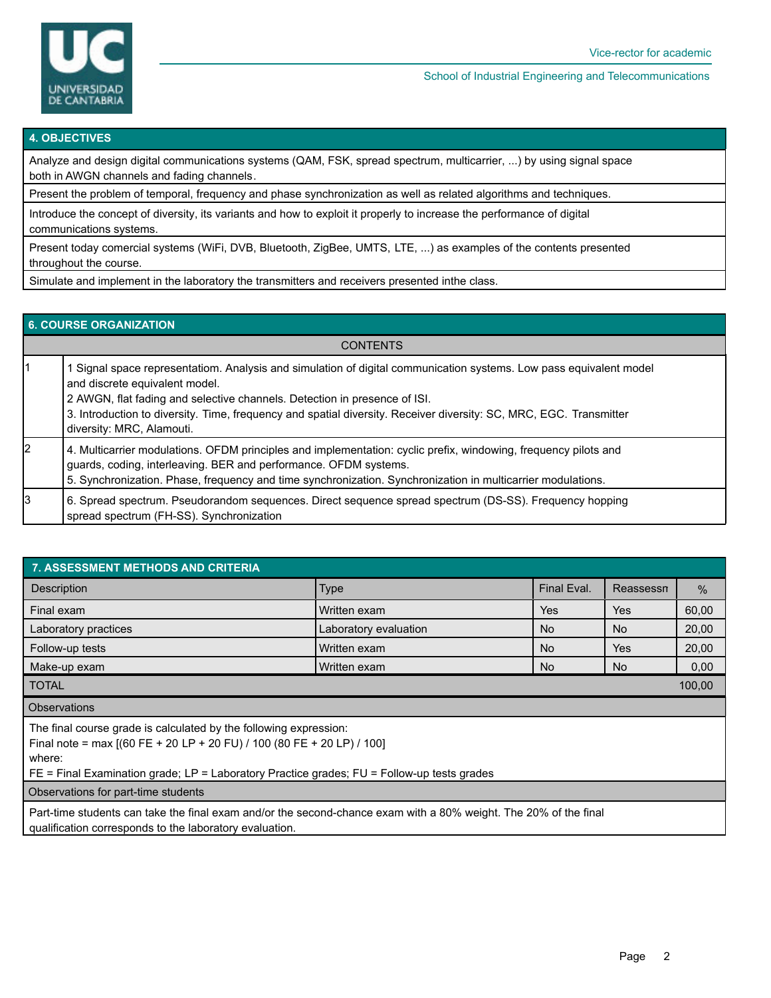

#### School of Industrial Engineering and Telecommunications

#### **4. OBJECTIVES**

Analyze and design digital communications systems (QAM, FSK, spread spectrum, multicarrier, ...) by using signal space both in AWGN channels and fading channels.

Present the problem of temporal, frequency and phase synchronization as well as related algorithms and techniques.

Introduce the concept of diversity, its variants and how to exploit it properly to increase the performance of digital communications systems.

Present today comercial systems (WiFi, DVB, Bluetooth, ZigBee, UMTS, LTE, ...) as examples of the contents presented throughout the course.

Simulate and implement in the laboratory the transmitters and receivers presented inthe class.

#### **6. COURSE ORGANIZATION**

| <b>CONTENTS</b> |                                                                                                                                                                                                                                                                                                                                                                                    |  |  |  |
|-----------------|------------------------------------------------------------------------------------------------------------------------------------------------------------------------------------------------------------------------------------------------------------------------------------------------------------------------------------------------------------------------------------|--|--|--|
|                 | Signal space representatiom. Analysis and simulation of digital communication systems. Low pass equivalent model<br>and discrete equivalent model.<br>2 AWGN, flat fading and selective channels. Detection in presence of ISI.<br>3. Introduction to diversity. Time, frequency and spatial diversity. Receiver diversity: SC, MRC, EGC. Transmitter<br>diversity: MRC, Alamouti. |  |  |  |
| l2              | 4. Multicarrier modulations. OFDM principles and implementation: cyclic prefix, windowing, frequency pilots and<br>guards, coding, interleaving. BER and performance. OFDM systems.<br>5. Synchronization. Phase, frequency and time synchronization. Synchronization in multicarrier modulations.                                                                                 |  |  |  |
| 3               | 6. Spread spectrum. Pseudorandom sequences. Direct sequence spread spectrum (DS-SS). Frequency hopping<br>spread spectrum (FH-SS). Synchronization                                                                                                                                                                                                                                 |  |  |  |

| 7. ASSESSMENT METHODS AND CRITERIA                                                                                                                                                                                                                      |                       |             |           |       |  |  |  |  |
|---------------------------------------------------------------------------------------------------------------------------------------------------------------------------------------------------------------------------------------------------------|-----------------------|-------------|-----------|-------|--|--|--|--|
| <b>Description</b>                                                                                                                                                                                                                                      | <b>Type</b>           | Final Eval. | Reassessn | $\%$  |  |  |  |  |
| Final exam                                                                                                                                                                                                                                              | Written exam          | Yes         | Yes       | 60,00 |  |  |  |  |
| Laboratory practices                                                                                                                                                                                                                                    | Laboratory evaluation | No.         | No.       | 20,00 |  |  |  |  |
| Follow-up tests                                                                                                                                                                                                                                         | Written exam          | No.         | Yes       | 20,00 |  |  |  |  |
| Make-up exam                                                                                                                                                                                                                                            | Written exam          | No.         | No.       | 0,00  |  |  |  |  |
| <b>TOTAL</b><br>100,00                                                                                                                                                                                                                                  |                       |             |           |       |  |  |  |  |
| <b>Observations</b>                                                                                                                                                                                                                                     |                       |             |           |       |  |  |  |  |
| The final course grade is calculated by the following expression:<br>Final note = max $[(60 FE + 20 LP + 20 FU) / 100 (80 FE + 20 LP) / 100]$<br>where:<br>$FE$ = Final Examination grade; LP = Laboratory Practice grades; FU = Follow-up tests grades |                       |             |           |       |  |  |  |  |
| Observations for part-time students                                                                                                                                                                                                                     |                       |             |           |       |  |  |  |  |
| Part-time students can take the final exam and/or the second-chance exam with a 80% weight. The 20% of the final<br>qualification corresponds to the laboratory evaluation.                                                                             |                       |             |           |       |  |  |  |  |